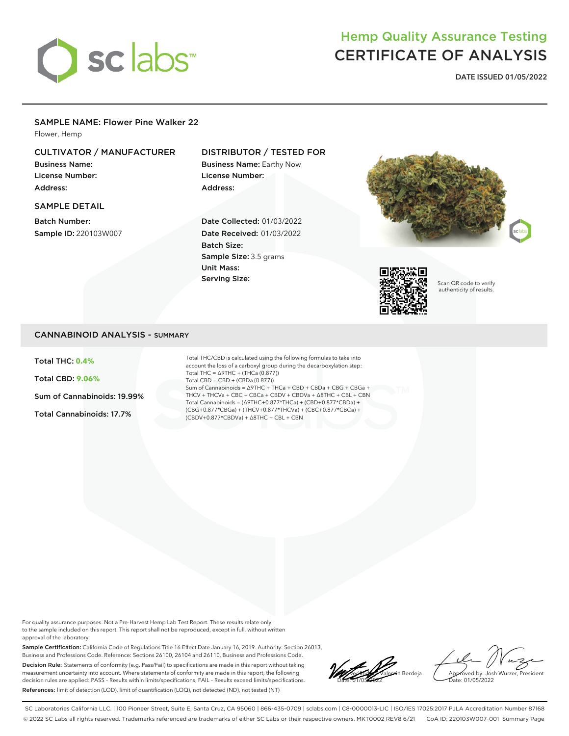

# Hemp Quality Assurance Testing CERTIFICATE OF ANALYSIS

**DATE ISSUED 01/05/2022**

#### SAMPLE NAME: Flower Pine Walker 22

Flower, Hemp

## CULTIVATOR / MANUFACTURER

Business Name: License Number: Address:

# DISTRIBUTOR / TESTED FOR

Business Name: Earthy Now License Number: Address:

#### SAMPLE DETAIL

Batch Number: Sample ID: 220103W007

### Date Collected: 01/03/2022 Date Received: 01/03/2022 Batch Size: Sample Size: 3.5 grams Unit Mass: Serving Size:





Scan QR code to verify authenticity of results.

### CANNABINOID ANALYSIS - SUMMARY

Total THC: **0.4%**

Total CBD: **9.06%**

Sum of Cannabinoids: 19.99%

Total Cannabinoids: 17.7%

Total THC/CBD is calculated using the following formulas to take into account the loss of a carboxyl group during the decarboxylation step: Total THC = ∆9THC + (THCa (0.877)) Total CBD = CBD + (CBDa (0.877)) Sum of Cannabinoids = ∆9THC + THCa + CBD + CBDa + CBG + CBGa + THCV + THCVa + CBC + CBCa + CBDV + CBDVa + ∆8THC + CBL + CBN Total Cannabinoids = (∆9THC+0.877\*THCa) + (CBD+0.877\*CBDa) + (CBG+0.877\*CBGa) + (THCV+0.877\*THCVa) + (CBC+0.877\*CBCa) + (CBDV+0.877\*CBDVa) + ∆8THC + CBL + CBN

For quality assurance purposes. Not a Pre-Harvest Hemp Lab Test Report. These results relate only to the sample included on this report. This report shall not be reproduced, except in full, without written approval of the laboratory.

Sample Certification: California Code of Regulations Title 16 Effect Date January 16, 2019. Authority: Section 26013, Business and Professions Code. Reference: Sections 26100, 26104 and 26110, Business and Professions Code. Decision Rule: Statements of conformity (e.g. Pass/Fail) to specifications are made in this report without taking measurement uncertainty into account. Where statements of conformity are made in this report, the following decision rules are applied: PASS – Results within limits/specifications, FAIL – Results exceed limits/specifications. References: limit of detection (LOD), limit of quantification (LOQ), not detected (ND), not tested (NT)

**Local Valentin Berdeja** Date: 01/05/2022

Approved by: Josh Wurzer, President ate: 01/05/2022

SC Laboratories California LLC. | 100 Pioneer Street, Suite E, Santa Cruz, CA 95060 | 866-435-0709 | sclabs.com | C8-0000013-LIC | ISO/IES 17025:2017 PJLA Accreditation Number 87168 © 2022 SC Labs all rights reserved. Trademarks referenced are trademarks of either SC Labs or their respective owners. MKT0002 REV8 6/21 CoA ID: 220103W007-001 Summary Page